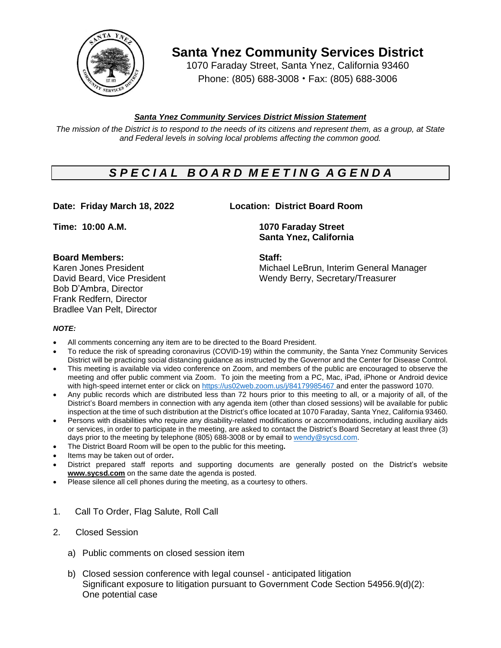

**Santa Ynez Community Services District**

1070 Faraday Street, Santa Ynez, California 93460 Phone: (805) 688-3008 • Fax: (805) 688-3006

## *Santa Ynez Community Services District Mission Statement*

The mission of the District is to respond to the needs of its citizens and represent them, as a group, at State *and Federal levels in solving local problems affecting the common good.*

# *S P E C I A L B O A R D M E E T I N G A G E N D A*

## **Date: Friday March 18, 2022 Location: District Board Room**

### **Board Members: Staff:**

Bob D'Ambra, Director Frank Redfern, Director Bradlee Van Pelt, Director

**Time: 10:00 A.M. 1070 Faraday Street**

**Santa Ynez, California**

Karen Jones President Michael LeBrun, Interim General Manager David Beard, Vice President Wendy Berry, Secretary/Treasurer

### *NOTE:*

- All comments concerning any item are to be directed to the Board President.
- To reduce the risk of spreading coronavirus (COVID-19) within the community, the Santa Ynez Community Services District will be practicing social distancing guidance as instructed by the Governor and the Center for Disease Control.
- This meeting is available via video conference on Zoom, and members of the public are encouraged to observe the meeting and offer public comment via Zoom. To join the meeting from a PC, Mac, iPad, iPhone or Android device with high-speed internet enter or click on [https://us02web.zoom.us/j/8](https://us02web.zoom.us/j/)4179985467 and enter the password 1070.
- Any public records which are distributed less than 72 hours prior to this meeting to all, or a majority of all, of the District's Board members in connection with any agenda item (other than closed sessions) will be available for public inspection at the time of such distribution at the District's office located at 1070 Faraday, Santa Ynez, California 93460.
- Persons with disabilities who require any disability-related modifications or accommodations, including auxiliary aids or services, in order to participate in the meeting, are asked to contact the District's Board Secretary at least three (3) days prior to the meeting by telephone (805) 688-3008 or by email to [wendy@sycsd.com.](mailto:wendy@sycsd.com)
- The District Board Room will be open to the public for this meeting**.**
- Items may be taken out of order**.**
- District prepared staff reports and supporting documents are generally posted on the District's website **[www.sycsd.com](http://www.sycsd.com/)** on the same date the agenda is posted.
- Please silence all cell phones during the meeting, as a courtesy to others.
- 1. Call To Order, Flag Salute, Roll Call
- 2. Closed Session
	- a) Public comments on closed session item
	- b) Closed session conference with legal counsel anticipated litigation Significant exposure to litigation pursuant to Government Code Section 54956.9(d)(2): One potential case